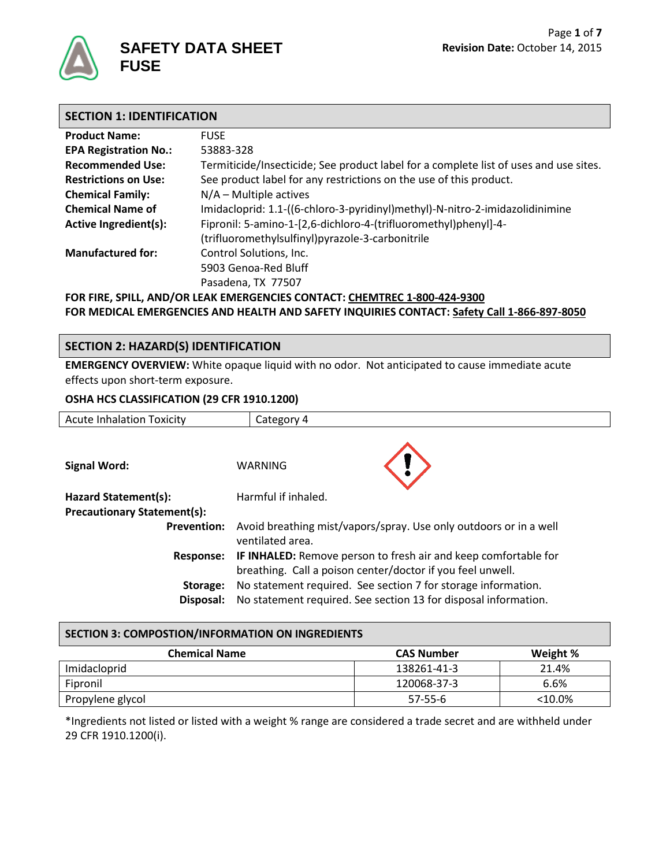

| <b>SECTION 1: IDENTIFICATION</b> |                                                                                       |  |
|----------------------------------|---------------------------------------------------------------------------------------|--|
| <b>Product Name:</b>             | <b>FUSE</b>                                                                           |  |
| <b>EPA Registration No.:</b>     | 53883-328                                                                             |  |
| <b>Recommended Use:</b>          | Termiticide/Insecticide; See product label for a complete list of uses and use sites. |  |
| <b>Restrictions on Use:</b>      | See product label for any restrictions on the use of this product.                    |  |
| <b>Chemical Family:</b>          | $N/A$ – Multiple actives                                                              |  |
| <b>Chemical Name of</b>          | Imidacloprid: 1.1-((6-chloro-3-pyridinyl)methyl)-N-nitro-2-imidazolidinimine          |  |
| <b>Active Ingredient(s):</b>     | Fipronil: 5-amino-1-[2,6-dichloro-4-(trifluoromethyl)phenyl]-4-                       |  |
|                                  | (trifluoromethylsulfinyl)pyrazole-3-carbonitrile                                      |  |
| <b>Manufactured for:</b>         | Control Solutions, Inc.                                                               |  |
|                                  | 5903 Genoa-Red Bluff                                                                  |  |
|                                  | Pasadena, TX 77507                                                                    |  |
|                                  | FOR FIRE, SPILL, AND/OR LEAK EMERGENCIES CONTACT: CHEMTREC 1-800-424-9300             |  |

**FOR MEDICAL EMERGENCIES AND HEALTH AND SAFETY INQUIRIES CONTACT: Safety Call 1-866-897-8050**

## **SECTION 2: HAZARD(S) IDENTIFICATION**

**EMERGENCY OVERVIEW:** White opaque liquid with no odor. Not anticipated to cause immediate acute effects upon short-term exposure.

### **OSHA HCS CLASSIFICATION (29 CFR 1910.1200)**

| <b>Acute Inhalation Toxicity</b>                           | Category 4                                                                                                                           |  |
|------------------------------------------------------------|--------------------------------------------------------------------------------------------------------------------------------------|--|
| <b>Signal Word:</b>                                        | <b>WARNING</b>                                                                                                                       |  |
| Hazard Statement(s):<br><b>Precautionary Statement(s):</b> | Harmful if inhaled.                                                                                                                  |  |
| <b>Prevention:</b>                                         | Avoid breathing mist/vapors/spray. Use only outdoors or in a well<br>ventilated area.                                                |  |
| Response:                                                  | <b>IF INHALED:</b> Remove person to fresh air and keep comfortable for<br>breathing. Call a poison center/doctor if you feel unwell. |  |
| Storage:<br>Disposal:                                      | No statement required. See section 7 for storage information.<br>No statement required. See section 13 for disposal information.     |  |

### **SECTION 3: COMPOSTION/INFORMATION ON INGREDIENTS**

| <b>Chemical Name</b> | <b>CAS Number</b> | Weight %  |
|----------------------|-------------------|-----------|
| Imidacloprid         | 138261-41-3       | 21.4%     |
| Fipronil             | 120068-37-3       | 6.6%      |
| Propylene glycol     | $57 - 55 - 6$     | $<10.0\%$ |

\*Ingredients not listed or listed with a weight % range are considered a trade secret and are withheld under 29 CFR 1910.1200(i).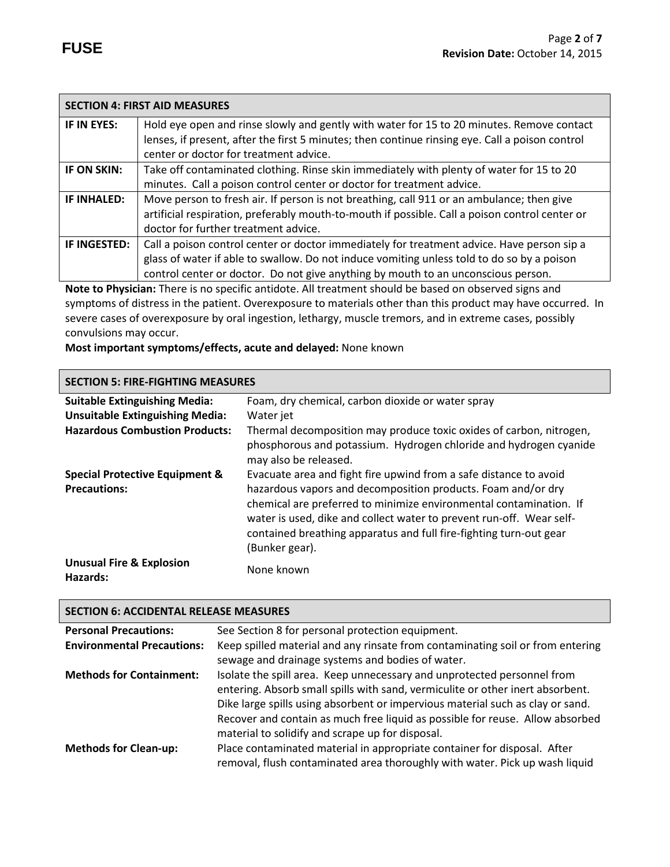|                                                                                                       | <b>SECTION 4: FIRST AID MEASURES</b>                                                            |
|-------------------------------------------------------------------------------------------------------|-------------------------------------------------------------------------------------------------|
| IF IN EYES:                                                                                           | Hold eye open and rinse slowly and gently with water for 15 to 20 minutes. Remove contact       |
|                                                                                                       | lenses, if present, after the first 5 minutes; then continue rinsing eye. Call a poison control |
|                                                                                                       | center or doctor for treatment advice.                                                          |
| IF ON SKIN:                                                                                           | Take off contaminated clothing. Rinse skin immediately with plenty of water for 15 to 20        |
|                                                                                                       | minutes. Call a poison control center or doctor for treatment advice.                           |
| <b>IF INHALED:</b>                                                                                    | Move person to fresh air. If person is not breathing, call 911 or an ambulance; then give       |
|                                                                                                       | artificial respiration, preferably mouth-to-mouth if possible. Call a poison control center or  |
|                                                                                                       | doctor for further treatment advice.                                                            |
| IF INGESTED:                                                                                          | Call a poison control center or doctor immediately for treatment advice. Have person sip a      |
|                                                                                                       | glass of water if able to swallow. Do not induce vomiting unless told to do so by a poison      |
|                                                                                                       | control center or doctor. Do not give anything by mouth to an unconscious person.               |
| Note to Physician: There is no specific antidote. All treatment should be based on observed signs and |                                                                                                 |

symptoms of distress in the patient. Overexposure to materials other than this product may have occurred. In severe cases of overexposure by oral ingestion, lethargy, muscle tremors, and in extreme cases, possibly convulsions may occur.

**Most important symptoms/effects, acute and delayed:** None known

## **SECTION 5: FIRE-FIGHTING MEASURES**

| <b>Suitable Extinguishing Media:</b>            | Foam, dry chemical, carbon dioxide or water spray                                                                                                                                                                                                                                                  |
|-------------------------------------------------|----------------------------------------------------------------------------------------------------------------------------------------------------------------------------------------------------------------------------------------------------------------------------------------------------|
| <b>Unsuitable Extinguishing Media:</b>          | Water jet                                                                                                                                                                                                                                                                                          |
| <b>Hazardous Combustion Products:</b>           | Thermal decomposition may produce toxic oxides of carbon, nitrogen,<br>phosphorous and potassium. Hydrogen chloride and hydrogen cyanide<br>may also be released.                                                                                                                                  |
| <b>Special Protective Equipment &amp;</b>       | Evacuate area and fight fire upwind from a safe distance to avoid                                                                                                                                                                                                                                  |
| <b>Precautions:</b>                             | hazardous vapors and decomposition products. Foam and/or dry<br>chemical are preferred to minimize environmental contamination. If<br>water is used, dike and collect water to prevent run-off. Wear self-<br>contained breathing apparatus and full fire-fighting turn-out gear<br>(Bunker gear). |
| <b>Unusual Fire &amp; Explosion</b><br>Hazards: | None known                                                                                                                                                                                                                                                                                         |

## **SECTION 6: ACCIDENTAL RELEASE MEASURES**

| <b>Personal Precautions:</b>      | See Section 8 for personal protection equipment.                                                                                                                                                                                                                                                                                                                                 |
|-----------------------------------|----------------------------------------------------------------------------------------------------------------------------------------------------------------------------------------------------------------------------------------------------------------------------------------------------------------------------------------------------------------------------------|
| <b>Environmental Precautions:</b> | Keep spilled material and any rinsate from contaminating soil or from entering<br>sewage and drainage systems and bodies of water.                                                                                                                                                                                                                                               |
| <b>Methods for Containment:</b>   | Isolate the spill area. Keep unnecessary and unprotected personnel from<br>entering. Absorb small spills with sand, vermiculite or other inert absorbent.<br>Dike large spills using absorbent or impervious material such as clay or sand.<br>Recover and contain as much free liquid as possible for reuse. Allow absorbed<br>material to solidify and scrape up for disposal. |
| <b>Methods for Clean-up:</b>      | Place contaminated material in appropriate container for disposal. After<br>removal, flush contaminated area thoroughly with water. Pick up wash liquid                                                                                                                                                                                                                          |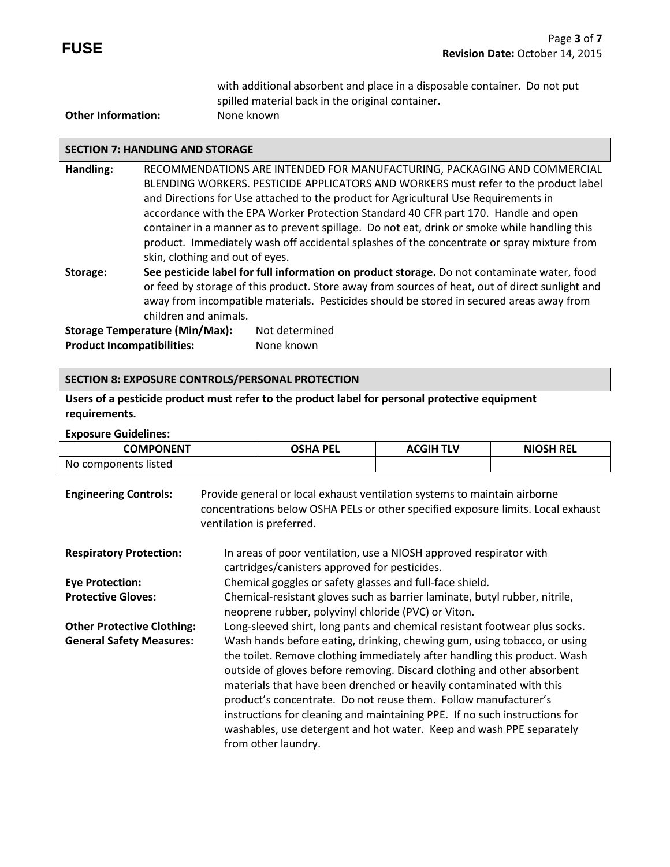with additional absorbent and place in a disposable container. Do not put spilled material back in the original container.

## **Other Information:** None known

### **SECTION 7: HANDLING AND STORAGE**

- **Handling:** RECOMMENDATIONS ARE INTENDED FOR MANUFACTURING, PACKAGING AND COMMERCIAL BLENDING WORKERS. PESTICIDE APPLICATORS AND WORKERS must refer to the product label and Directions for Use attached to the product for Agricultural Use Requirements in accordance with the EPA Worker Protection Standard 40 CFR part 170.Handle and open container in a manner as to prevent spillage. Do not eat, drink or smoke while handling this product. Immediately wash off accidental splashes of the concentrate or spray mixture from skin, clothing and out of eyes.
- **Storage: See pesticide label for full information on product storage.** Do not contaminate water, food or feed by storage of this product. Store away from sources of heat, out of direct sunlight and away from incompatible materials. Pesticides should be stored in secured areas away from children and animals.

**Storage Temperature (Min/Max):** Not determined **Product Incompatibilities:** None known

### **SECTION 8: EXPOSURE CONTROLS/PERSONAL PROTECTION**

**Users of a pesticide product must refer to the product label for personal protective equipment requirements.**

#### **Exposure Guidelines:**

| <b>COMPONENT</b>     | OSHA PEL | <b>ACGIH TLV</b> | <b>NIOSH REL</b> |
|----------------------|----------|------------------|------------------|
| No components listed |          |                  |                  |

| <b>Engineering Controls:</b>      | Provide general or local exhaust ventilation systems to maintain airborne<br>concentrations below OSHA PELs or other specified exposure limits. Local exhaust<br>ventilation is preferred.                                                                                                                                                                                                                                                                                                                                                              |
|-----------------------------------|---------------------------------------------------------------------------------------------------------------------------------------------------------------------------------------------------------------------------------------------------------------------------------------------------------------------------------------------------------------------------------------------------------------------------------------------------------------------------------------------------------------------------------------------------------|
| <b>Respiratory Protection:</b>    | In areas of poor ventilation, use a NIOSH approved respirator with<br>cartridges/canisters approved for pesticides.                                                                                                                                                                                                                                                                                                                                                                                                                                     |
| <b>Eye Protection:</b>            | Chemical goggles or safety glasses and full-face shield.                                                                                                                                                                                                                                                                                                                                                                                                                                                                                                |
| <b>Protective Gloves:</b>         | Chemical-resistant gloves such as barrier laminate, butyl rubber, nitrile,<br>neoprene rubber, polyvinyl chloride (PVC) or Viton.                                                                                                                                                                                                                                                                                                                                                                                                                       |
| <b>Other Protective Clothing:</b> | Long-sleeved shirt, long pants and chemical resistant footwear plus socks.                                                                                                                                                                                                                                                                                                                                                                                                                                                                              |
| <b>General Safety Measures:</b>   | Wash hands before eating, drinking, chewing gum, using tobacco, or using<br>the toilet. Remove clothing immediately after handling this product. Wash<br>outside of gloves before removing. Discard clothing and other absorbent<br>materials that have been drenched or heavily contaminated with this<br>product's concentrate. Do not reuse them. Follow manufacturer's<br>instructions for cleaning and maintaining PPE. If no such instructions for<br>washables, use detergent and hot water. Keep and wash PPE separately<br>from other laundry. |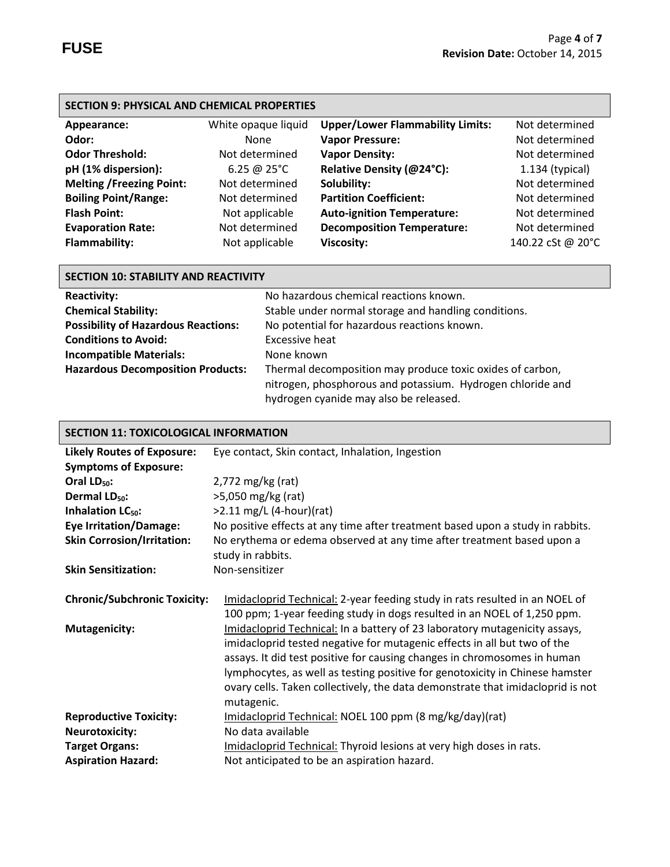П

| <b>SECTION 9: PHYSICAL AND CHEMICAL PROPERTIES</b> |                       |                                         |                   |
|----------------------------------------------------|-----------------------|-----------------------------------------|-------------------|
| Appearance:                                        | White opaque liquid   | <b>Upper/Lower Flammability Limits:</b> | Not determined    |
| Odor:                                              | <b>None</b>           | <b>Vapor Pressure:</b>                  | Not determined    |
| <b>Odor Threshold:</b>                             | Not determined        | <b>Vapor Density:</b>                   | Not determined    |
| pH (1% dispersion):                                | 6.25 @ $25^{\circ}$ C | Relative Density (@24°C):               | $1.134$ (typical) |
| <b>Melting /Freezing Point:</b>                    | Not determined        | Solubility:                             | Not determined    |
| <b>Boiling Point/Range:</b>                        | Not determined        | <b>Partition Coefficient:</b>           | Not determined    |
| <b>Flash Point:</b>                                | Not applicable        | <b>Auto-ignition Temperature:</b>       | Not determined    |
| <b>Evaporation Rate:</b>                           | Not determined        | <b>Decomposition Temperature:</b>       | Not determined    |
| <b>Flammability:</b>                               | Not applicable        | <b>Viscosity:</b>                       | 140.22 cSt @ 20°C |

| <b>SECTION 10: STABILITY AND REACTIVITY</b> |                                                            |  |  |
|---------------------------------------------|------------------------------------------------------------|--|--|
| <b>Reactivity:</b>                          | No hazardous chemical reactions known.                     |  |  |
| <b>Chemical Stability:</b>                  | Stable under normal storage and handling conditions.       |  |  |
| <b>Possibility of Hazardous Reactions:</b>  | No potential for hazardous reactions known.                |  |  |
| <b>Conditions to Avoid:</b>                 | Excessive heat                                             |  |  |
| <b>Incompatible Materials:</b>              | None known                                                 |  |  |
| <b>Hazardous Decomposition Products:</b>    | Thermal decomposition may produce toxic oxides of carbon,  |  |  |
|                                             | nitrogen, phosphorous and potassium. Hydrogen chloride and |  |  |
|                                             | hydrogen cyanide may also be released.                     |  |  |

| <b>SECTION 11: TOXICOLOGICAL INFORMATION</b> |                                                                                                                                                                                                                                                                                                                                                                                                                    |  |
|----------------------------------------------|--------------------------------------------------------------------------------------------------------------------------------------------------------------------------------------------------------------------------------------------------------------------------------------------------------------------------------------------------------------------------------------------------------------------|--|
| <b>Likely Routes of Exposure:</b>            | Eye contact, Skin contact, Inhalation, Ingestion                                                                                                                                                                                                                                                                                                                                                                   |  |
| <b>Symptoms of Exposure:</b>                 |                                                                                                                                                                                                                                                                                                                                                                                                                    |  |
| Oral $LD_{50}$ :                             | $2,772$ mg/kg (rat)                                                                                                                                                                                                                                                                                                                                                                                                |  |
| Dermal LD <sub>50</sub> :                    | >5,050 mg/kg (rat)                                                                                                                                                                                                                                                                                                                                                                                                 |  |
| Inhalation LC <sub>50</sub> :                | $>2.11$ mg/L (4-hour)(rat)                                                                                                                                                                                                                                                                                                                                                                                         |  |
| <b>Eye Irritation/Damage:</b>                | No positive effects at any time after treatment based upon a study in rabbits.                                                                                                                                                                                                                                                                                                                                     |  |
| <b>Skin Corrosion/Irritation:</b>            | No erythema or edema observed at any time after treatment based upon a                                                                                                                                                                                                                                                                                                                                             |  |
|                                              | study in rabbits.                                                                                                                                                                                                                                                                                                                                                                                                  |  |
| <b>Skin Sensitization:</b>                   | Non-sensitizer                                                                                                                                                                                                                                                                                                                                                                                                     |  |
| <b>Chronic/Subchronic Toxicity:</b>          | Imidacloprid Technical: 2-year feeding study in rats resulted in an NOEL of<br>100 ppm; 1-year feeding study in dogs resulted in an NOEL of 1,250 ppm.                                                                                                                                                                                                                                                             |  |
| <b>Mutagenicity:</b>                         | Imidacloprid Technical: In a battery of 23 laboratory mutagenicity assays,<br>imidacloprid tested negative for mutagenic effects in all but two of the<br>assays. It did test positive for causing changes in chromosomes in human<br>lymphocytes, as well as testing positive for genotoxicity in Chinese hamster<br>ovary cells. Taken collectively, the data demonstrate that imidacloprid is not<br>mutagenic. |  |
| <b>Reproductive Toxicity:</b>                | Imidacloprid Technical: NOEL 100 ppm (8 mg/kg/day)(rat)                                                                                                                                                                                                                                                                                                                                                            |  |
| <b>Neurotoxicity:</b>                        | No data available                                                                                                                                                                                                                                                                                                                                                                                                  |  |
| <b>Target Organs:</b>                        | Imidacloprid Technical: Thyroid lesions at very high doses in rats.                                                                                                                                                                                                                                                                                                                                                |  |
| <b>Aspiration Hazard:</b>                    | Not anticipated to be an aspiration hazard.                                                                                                                                                                                                                                                                                                                                                                        |  |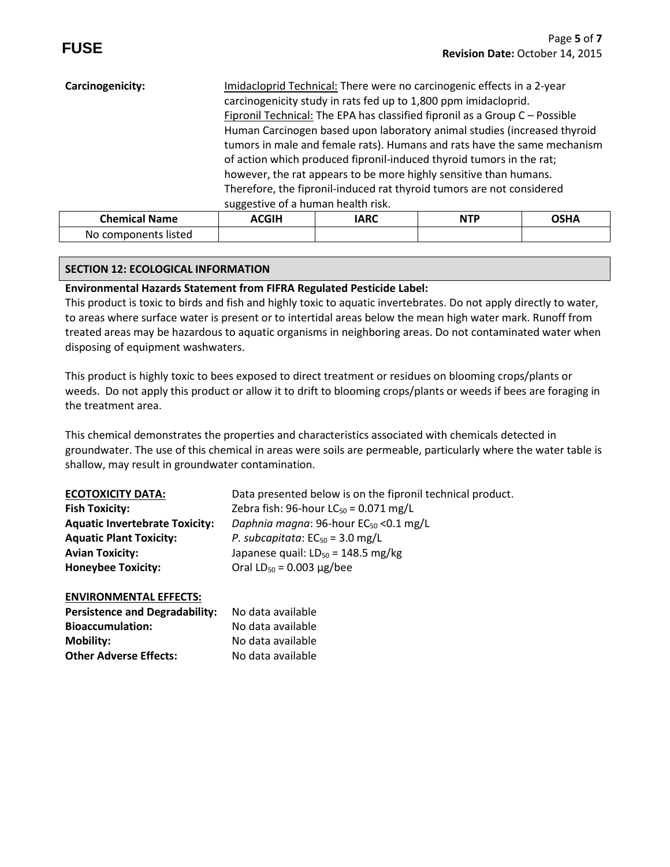| Fipronil Technical: The EPA has classified fipronil as a Group C - Possible<br>Human Carcinogen based upon laboratory animal studies (increased thyroid<br>tumors in male and female rats). Humans and rats have the same mechanism<br>of action which produced fipronil-induced thyroid tumors in the rat;<br>however, the rat appears to be more highly sensitive than humans.<br>Therefore, the fipronil-induced rat thyroid tumors are not considered |  |  |  |  |
|-----------------------------------------------------------------------------------------------------------------------------------------------------------------------------------------------------------------------------------------------------------------------------------------------------------------------------------------------------------------------------------------------------------------------------------------------------------|--|--|--|--|
| suggestive of a human health risk.<br><b>ACGIH</b><br><b>OSHA</b><br><b>NTP</b><br><b>IARC</b>                                                                                                                                                                                                                                                                                                                                                            |  |  |  |  |
|                                                                                                                                                                                                                                                                                                                                                                                                                                                           |  |  |  |  |

## **SECTION 12: ECOLOGICAL INFORMATION**

No components listed

## **Environmental Hazards Statement from FIFRA Regulated Pesticide Label:**

This product is toxic to birds and fish and highly toxic to aquatic invertebrates. Do not apply directly to water, to areas where surface water is present or to intertidal areas below the mean high water mark. Runoff from treated areas may be hazardous to aquatic organisms in neighboring areas. Do not contaminated water when disposing of equipment washwaters.

This product is highly toxic to bees exposed to direct treatment or residues on blooming crops/plants or weeds. Do not apply this product or allow it to drift to blooming crops/plants or weeds if bees are foraging in the treatment area.

This chemical demonstrates the properties and characteristics associated with chemicals detected in groundwater. The use of this chemical in areas were soils are permeable, particularly where the water table is shallow, may result in groundwater contamination.

| <b>ECOTOXICITY DATA:</b>              | Data presented below is on the fipronil technical product. |
|---------------------------------------|------------------------------------------------------------|
| <b>Fish Toxicity:</b>                 | Zebra fish: 96-hour $LC_{50} = 0.071$ mg/L                 |
| <b>Aquatic Invertebrate Toxicity:</b> | Daphnia magna: 96-hour $EC_{50}$ < 0.1 mg/L                |
| <b>Aquatic Plant Toxicity:</b>        | P. subcapitata: $EC_{50} = 3.0$ mg/L                       |
| <b>Avian Toxicity:</b>                | Japanese quail: $LD_{50} = 148.5$ mg/kg                    |
| <b>Honeybee Toxicity:</b>             | Oral $LD_{50} = 0.003 \mu g / bee$                         |

### **ENVIRONMENTAL EFFECTS:**

| <b>Persistence and Degradability:</b> | No data available |
|---------------------------------------|-------------------|
| <b>Bioaccumulation:</b>               | No data available |
| Mobility:                             | No data available |
| <b>Other Adverse Effects:</b>         | No data available |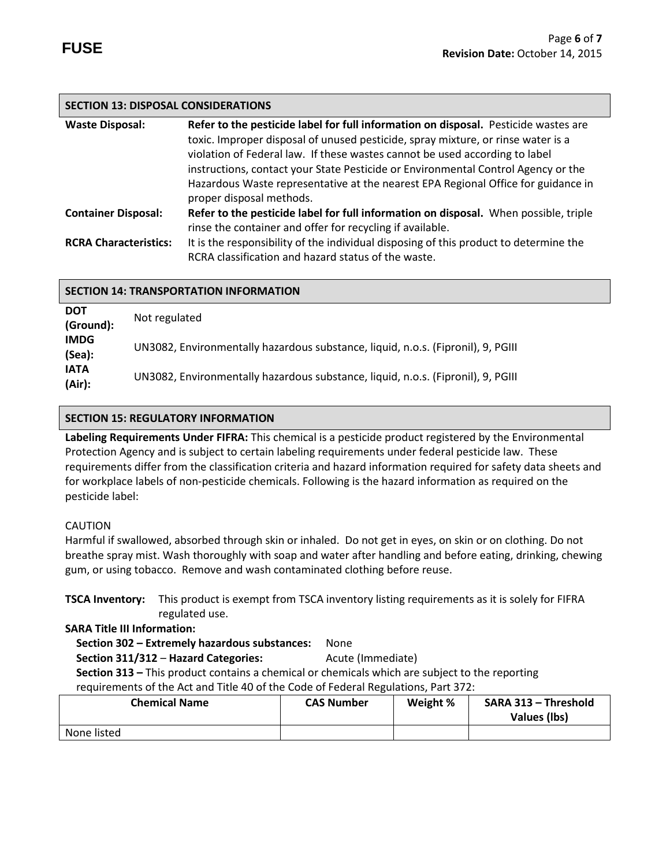## **SECTION 13: DISPOSAL CONSIDERATIONS**

| <b>Waste Disposal:</b>       | Refer to the pesticide label for full information on disposal. Pesticide wastes are   |  |
|------------------------------|---------------------------------------------------------------------------------------|--|
|                              | toxic. Improper disposal of unused pesticide, spray mixture, or rinse water is a      |  |
|                              | violation of Federal law. If these wastes cannot be used according to label           |  |
|                              | instructions, contact your State Pesticide or Environmental Control Agency or the     |  |
|                              | Hazardous Waste representative at the nearest EPA Regional Office for guidance in     |  |
|                              | proper disposal methods.                                                              |  |
| <b>Container Disposal:</b>   | Refer to the pesticide label for full information on disposal. When possible, triple  |  |
|                              | rinse the container and offer for recycling if available.                             |  |
| <b>RCRA Characteristics:</b> | It is the responsibility of the individual disposing of this product to determine the |  |
|                              | RCRA classification and hazard status of the waste.                                   |  |

| <b>SECTION 14: TRANSPORTATION INFORMATION</b> |                                                                                  |  |  |  |
|-----------------------------------------------|----------------------------------------------------------------------------------|--|--|--|
| <b>DOT</b><br>(Ground):                       | Not regulated                                                                    |  |  |  |
| <b>IMDG</b><br>(Sea):                         | UN3082, Environmentally hazardous substance, liquid, n.o.s. (Fipronil), 9, PGIII |  |  |  |
| <b>IATA</b><br>(Air):                         | UN3082, Environmentally hazardous substance, liquid, n.o.s. (Fipronil), 9, PGIII |  |  |  |

## **SECTION 15: REGULATORY INFORMATION**

**Labeling Requirements Under FIFRA:** This chemical is a pesticide product registered by the Environmental Protection Agency and is subject to certain labeling requirements under federal pesticide law. These requirements differ from the classification criteria and hazard information required for safety data sheets and for workplace labels of non-pesticide chemicals. Following is the hazard information as required on the pesticide label:

## CAUTION

Harmful if swallowed, absorbed through skin or inhaled. Do not get in eyes, on skin or on clothing. Do not breathe spray mist. Wash thoroughly with soap and water after handling and before eating, drinking, chewing gum, or using tobacco. Remove and wash contaminated clothing before reuse.

**TSCA Inventory:** This product is exempt from TSCA inventory listing requirements as it is solely for FIFRA regulated use.

**SARA Title III Information:**

# **Section 302 – Extremely hazardous substances:** None

**Section 311/312 – Hazard Categories:** Acute (Immediate)

 **Section 313 –** This product contains a chemical or chemicals which are subject to the reporting requirements of the Act and Title 40 of the Code of Federal Regulations, Part 372:

| <b>Chemical Name</b> | <b>CAS Number</b> | Weight % | SARA 313 - Threshold<br>Values (lbs) |
|----------------------|-------------------|----------|--------------------------------------|
| None listed          |                   |          |                                      |